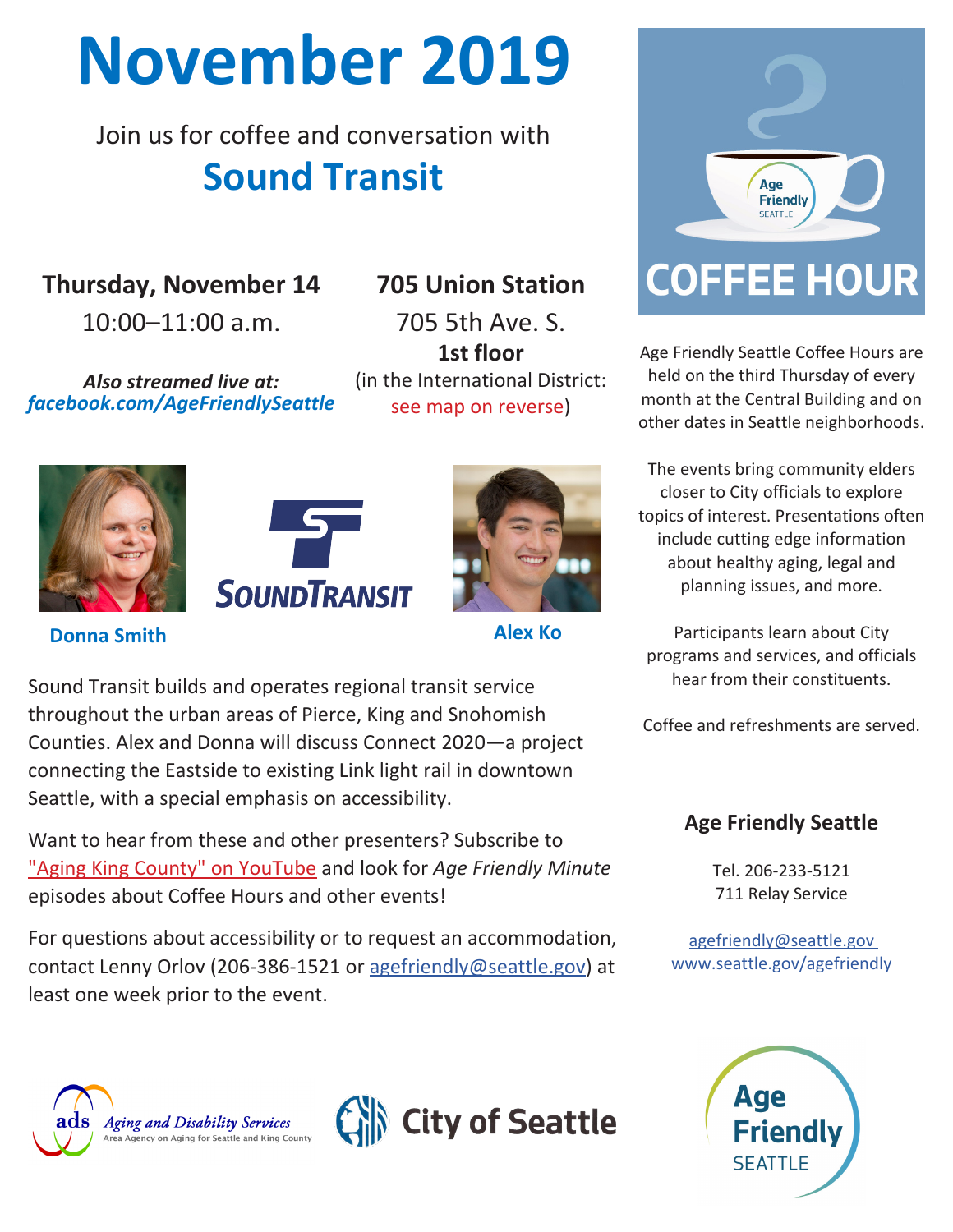## **November 2019**

Join us for coffee and conversation with **Sound Transit**

**Thursday, November 14**

10:00–11:00 a.m.

*Also streamed live at: [facebook.com/AgeFriendlySeattle](https://www.facebook.com/AgeFriendlySeattle)*

## **705 Union Station**

705 5th Ave. S. **1st floor** (in the International District: see map on reverse)







**Donna Smith Alex Ko**

Sound Transit builds and operates regional transit service throughout the urban areas of Pierce, King and Snohomish Counties. Alex and Donna will discuss Connect 2020—a project connecting the Eastside to existing Link light rail in downtown Seattle, with a special emphasis on accessibility.

Want to hear from these and other presenters? Subscribe to ["Aging King County" on YouTube](http://bit.ly/ADSonYouTube) and look for *Age Friendly Minute*  episodes about Coffee Hours and other events!

For questions about accessibility or to request an accommodation, contact Lenny Orlov (206-386-1521 or [agefriendly@seattle.gov](mailto:agefriendly%40seattle.gov?subject=Accommodation%20request)) at least one week prior to the event.







Age Friendly Seattle Coffee Hours are held on the third Thursday of every month at the Central Building and on other dates in Seattle neighborhoods.

The events bring community elders closer to City officials to explore topics of interest. Presentations often include cutting edge information about healthy aging, legal and planning issues, and more.

Participants learn about City programs and services, and officials hear from their constituents.

Coffee and refreshments are served.

## **Age Friendly Seattle**

Tel. 206-233-5121 711 Relay Service

[agefriendly@seattle.gov](mailto:agefriendly%40seattle.gov?subject=Flyer%20inquiry) [www.seattle.gov/agefriendly](http://www.seattle.gov/agefriendly )